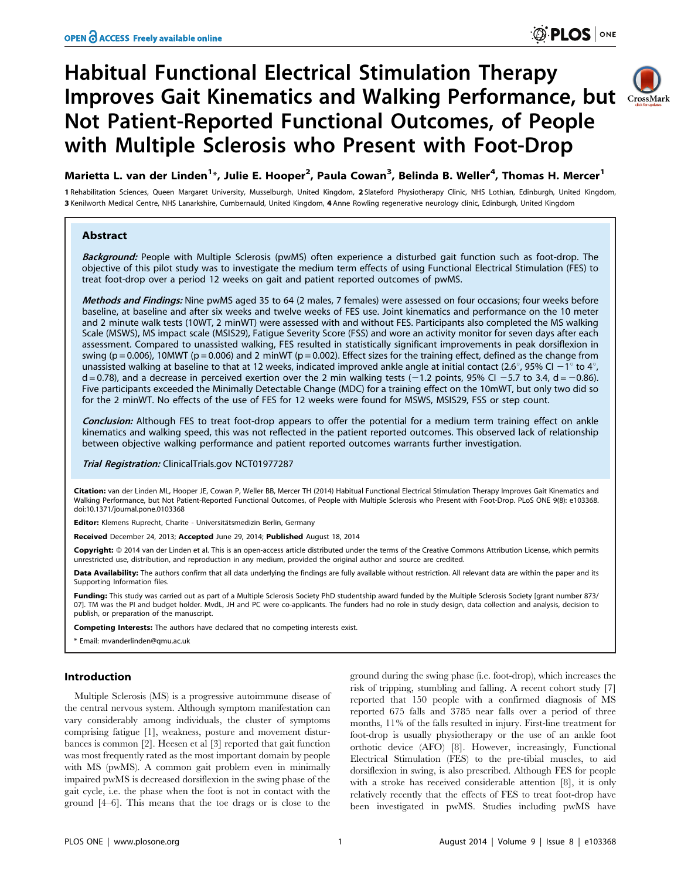# Habitual Functional Electrical Stimulation Therapy Improves Gait Kinematics and Walking Performance, but Not Patient-Reported Functional Outcomes, of People with Multiple Sclerosis who Present with Foot-Drop



## Marietta L. van der Linden<sup>1\*</sup>, Julie E. Hooper<sup>2</sup>, Paula Cowan<sup>3</sup>, Belinda B. Weller<sup>4</sup>, Thomas H. Mercer<sup>1</sup>

1 Rehabilitation Sciences, Queen Margaret University, Musselburgh, United Kingdom, 2 Slateford Physiotherapy Clinic, NHS Lothian, Edinburgh, United Kingdom, 3 Kenilworth Medical Centre, NHS Lanarkshire, Cumbernauld, United Kingdom, 4 Anne Rowling regenerative neurology clinic, Edinburgh, United Kingdom

## **Abstract**

Background: People with Multiple Sclerosis (pwMS) often experience a disturbed gait function such as foot-drop. The objective of this pilot study was to investigate the medium term effects of using Functional Electrical Stimulation (FES) to treat foot-drop over a period 12 weeks on gait and patient reported outcomes of pwMS.

Methods and Findings: Nine pwMS aged 35 to 64 (2 males, 7 females) were assessed on four occasions; four weeks before baseline, at baseline and after six weeks and twelve weeks of FES use. Joint kinematics and performance on the 10 meter and 2 minute walk tests (10WT, 2 minWT) were assessed with and without FES. Participants also completed the MS walking Scale (MSWS), MS impact scale (MSIS29), Fatigue Severity Score (FSS) and wore an activity monitor for seven days after each assessment. Compared to unassisted walking, FES resulted in statistically significant improvements in peak dorsiflexion in swing ( $p = 0.006$ ), 10MWT ( $p = 0.006$ ) and 2 minWT ( $p = 0.002$ ). Effect sizes for the training effect, defined as the change from unassisted walking at baseline to that at 12 weeks, indicated improved ankle angle at initial contact (2.6°, 95% CI  $-1^\circ$  to 4°,  $d = 0.78$ ), and a decrease in perceived exertion over the 2 min walking tests (-1.2 points, 95% CI -5.7 to 3.4,  $d = -0.86$ ). Five participants exceeded the Minimally Detectable Change (MDC) for a training effect on the 10mWT, but only two did so for the 2 minWT. No effects of the use of FES for 12 weeks were found for MSWS, MSIS29, FSS or step count.

Conclusion: Although FES to treat foot-drop appears to offer the potential for a medium term training effect on ankle kinematics and walking speed, this was not reflected in the patient reported outcomes. This observed lack of relationship between objective walking performance and patient reported outcomes warrants further investigation.

Trial Registration: ClinicalTrials.gov [NCT01977287](http://clinicaltrials.gov/show/NCT01977287)

Citation: van der Linden ML, Hooper JE, Cowan P, Weller BB, Mercer TH (2014) Habitual Functional Electrical Stimulation Therapy Improves Gait Kinematics and Walking Performance, but Not Patient-Reported Functional Outcomes, of People with Multiple Sclerosis who Present with Foot-Drop. PLoS ONE 9(8): e103368. doi:10.1371/journal.pone.0103368

Editor: Klemens Ruprecht, Charite - Universitätsmedizin Berlin, Germany

Received December 24, 2013; Accepted June 29, 2014; Published August 18, 2014

Copyright: © 2014 van der Linden et al. This is an open-access article distributed under the terms of the [Creative Commons Attribution License,](http://creativecommons.org/licenses/by/4.0/) which permits unrestricted use, distribution, and reproduction in any medium, provided the original author and source are credited.

Data Availability: The authors confirm that all data underlying the findings are fully available without restriction. All relevant data are within the paper and its Supporting Information files.

Funding: This study was carried out as part of a Multiple Sclerosis Society PhD studentship award funded by the Multiple Sclerosis Society [grant number 873/ 07]. TM was the PI and budget holder. MvdL, JH and PC were co-applicants. The funders had no role in study design, data collection and analysis, decision to publish, or preparation of the manuscript.

Competing Interests: The authors have declared that no competing interests exist.

\* Email: mvanderlinden@qmu.ac.uk

## Introduction

Multiple Sclerosis (MS) is a progressive autoimmune disease of the central nervous system. Although symptom manifestation can vary considerably among individuals, the cluster of symptoms comprising fatigue [1], weakness, posture and movement disturbances is common [2]. Heesen et al [3] reported that gait function was most frequently rated as the most important domain by people with MS (pwMS). A common gait problem even in minimally impaired pwMS is decreased dorsiflexion in the swing phase of the gait cycle, i.e. the phase when the foot is not in contact with the ground [4–6]. This means that the toe drags or is close to the

ground during the swing phase (i.e. foot-drop), which increases the risk of tripping, stumbling and falling. A recent cohort study [7] reported that 150 people with a confirmed diagnosis of MS reported 675 falls and 3785 near falls over a period of three months, 11% of the falls resulted in injury. First-line treatment for foot-drop is usually physiotherapy or the use of an ankle foot orthotic device (AFO) [8]. However, increasingly, Functional Electrical Stimulation (FES) to the pre-tibial muscles, to aid dorsiflexion in swing, is also prescribed. Although FES for people with a stroke has received considerable attention [8], it is only relatively recently that the effects of FES to treat foot-drop have been investigated in pwMS. Studies including pwMS have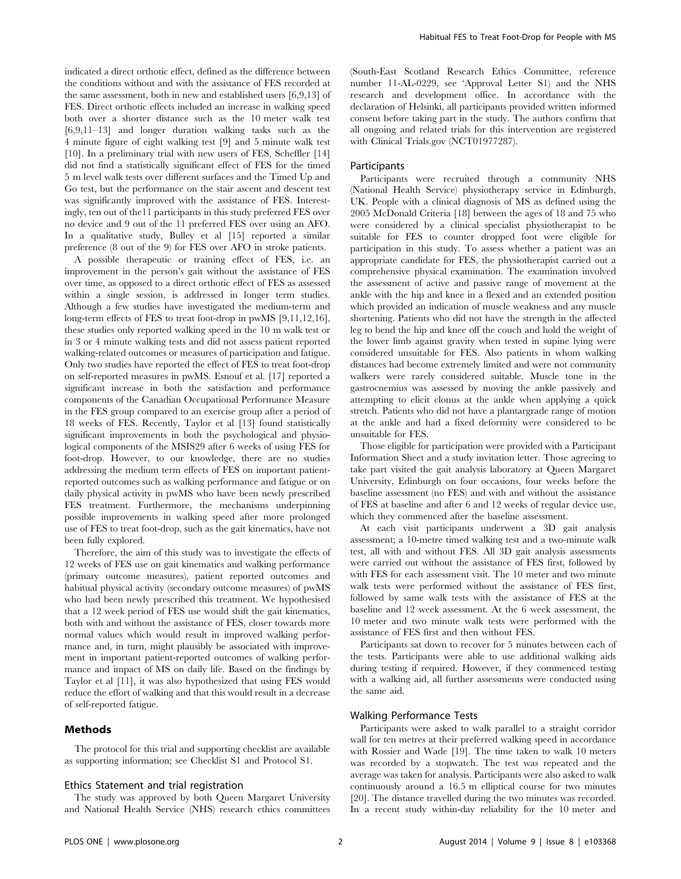indicated a direct orthotic effect, defined as the difference between the conditions without and with the assistance of FES recorded at the same assessment, both in new and established users [6,9,13] of FES. Direct orthotic effects included an increase in walking speed both over a shorter distance such as the 10 meter walk test [6,9,11–13] and longer duration walking tasks such as the 4 minute figure of eight walking test [9] and 5 minute walk test [10]. In a preliminary trial with new users of FES, Scheffler [14] did not find a statistically significant effect of FES for the timed 5 m level walk tests over different surfaces and the Timed Up and Go test, but the performance on the stair ascent and descent test was significantly improved with the assistance of FES. Interestingly, ten out of the11 participants in this study preferred FES over no device and 9 out of the 11 preferred FES over using an AFO. In a qualitative study, Bulley et al [15] reported a similar preference (8 out of the 9) for FES over AFO in stroke patients.

A possible therapeutic or training effect of FES, i.e. an improvement in the person's gait without the assistance of FES over time, as opposed to a direct orthotic effect of FES as assessed within a single session, is addressed in longer term studies. Although a few studies have investigated the medium-term and long-term effects of FES to treat foot-drop in pwMS [9,11,12,16], these studies only reported walking speed in the 10 m walk test or in 3 or 4 minute walking tests and did not assess patient reported walking-related outcomes or measures of participation and fatigue. Only two studies have reported the effect of FES to treat foot-drop on self-reported measures in pwMS. Esnouf et al. [17] reported a significant increase in both the satisfaction and performance components of the Canadian Occupational Performance Measure in the FES group compared to an exercise group after a period of 18 weeks of FES. Recently, Taylor et al [13] found statistically significant improvements in both the psychological and physiological components of the MSIS29 after 6 weeks of using FES for foot-drop. However, to our knowledge, there are no studies addressing the medium term effects of FES on important patientreported outcomes such as walking performance and fatigue or on daily physical activity in pwMS who have been newly prescribed FES treatment. Furthermore, the mechanisms underpinning possible improvements in walking speed after more prolonged use of FES to treat foot-drop, such as the gait kinematics, have not been fully explored.

Therefore, the aim of this study was to investigate the effects of 12 weeks of FES use on gait kinematics and walking performance (primary outcome measures), patient reported outcomes and habitual physical activity (secondary outcome measures) of pwMS who had been newly prescribed this treatment. We hypothesised that a 12 week period of FES use would shift the gait kinematics, both with and without the assistance of FES, closer towards more normal values which would result in improved walking performance and, in turn, might plausibly be associated with improvement in important patient-reported outcomes of walking performance and impact of MS on daily life. Based on the findings by Taylor et al [11], it was also hypothesized that using FES would reduce the effort of walking and that this would result in a decrease of self-reported fatigue.

## Methods

The protocol for this trial and supporting checklist are available as supporting information; see Checklist S1 and Protocol S1.

#### Ethics Statement and trial registration

The study was approved by both Queen Margaret University and National Health Service (NHS) research ethics committees (South-East Scotland Research Ethics Committee, reference number 11-AL-0229, see 'Approval Letter S1) and the NHS research and development office. In accordance with the declaration of Helsinki, all participants provided written informed consent before taking part in the study. The authors confirm that all ongoing and related trials for this intervention are registered with Clinical Trials.gov (NCT01977287).

#### **Participants**

Participants were recruited through a community NHS (National Health Service) physiotherapy service in Edinburgh, UK. People with a clinical diagnosis of MS as defined using the 2005 McDonald Criteria [18] between the ages of 18 and 75 who were considered by a clinical specialist physiotherapist to be suitable for FES to counter dropped foot were eligible for participation in this study. To assess whether a patient was an appropriate candidate for FES, the physiotherapist carried out a comprehensive physical examination. The examination involved the assessment of active and passive range of movement at the ankle with the hip and knee in a flexed and an extended position which provided an indication of muscle weakness and any muscle shortening. Patients who did not have the strength in the affected leg to bend the hip and knee off the couch and hold the weight of the lower limb against gravity when tested in supine lying were considered unsuitable for FES. Also patients in whom walking distances had become extremely limited and were not community walkers were rarely considered suitable. Muscle tone in the gastrocnemius was assessed by moving the ankle passively and attempting to elicit clonus at the ankle when applying a quick stretch. Patients who did not have a plantargrade range of motion at the ankle and had a fixed deformity were considered to be unsuitable for FES.

Those eligible for participation were provided with a Participant Information Sheet and a study invitation letter. Those agreeing to take part visited the gait analysis laboratory at Queen Margaret University, Edinburgh on four occasions, four weeks before the baseline assessment (no FES) and with and without the assistance of FES at baseline and after 6 and 12 weeks of regular device use, which they commenced after the baseline assessment.

At each visit participants underwent a 3D gait analysis assessment; a 10-metre timed walking test and a two-minute walk test, all with and without FES. All 3D gait analysis assessments were carried out without the assistance of FES first, followed by with FES for each assessment visit. The 10 meter and two minute walk tests were performed without the assistance of FES first, followed by same walk tests with the assistance of FES at the baseline and 12 week assessment. At the 6 week assessment, the 10 meter and two minute walk tests were performed with the assistance of FES first and then without FES.

Participants sat down to recover for 5 minutes between each of the tests. Participants were able to use additional walking aids during testing if required. However, if they commenced testing with a walking aid, all further assessments were conducted using the same aid.

### Walking Performance Tests

Participants were asked to walk parallel to a straight corridor wall for ten metres at their preferred walking speed in accordance with Rossier and Wade [19]. The time taken to walk 10 meters was recorded by a stopwatch. The test was repeated and the average was taken for analysis. Participants were also asked to walk continuously around a 16.5 m elliptical course for two minutes [20]. The distance travelled during the two minutes was recorded. In a recent study within-day reliability for the 10 meter and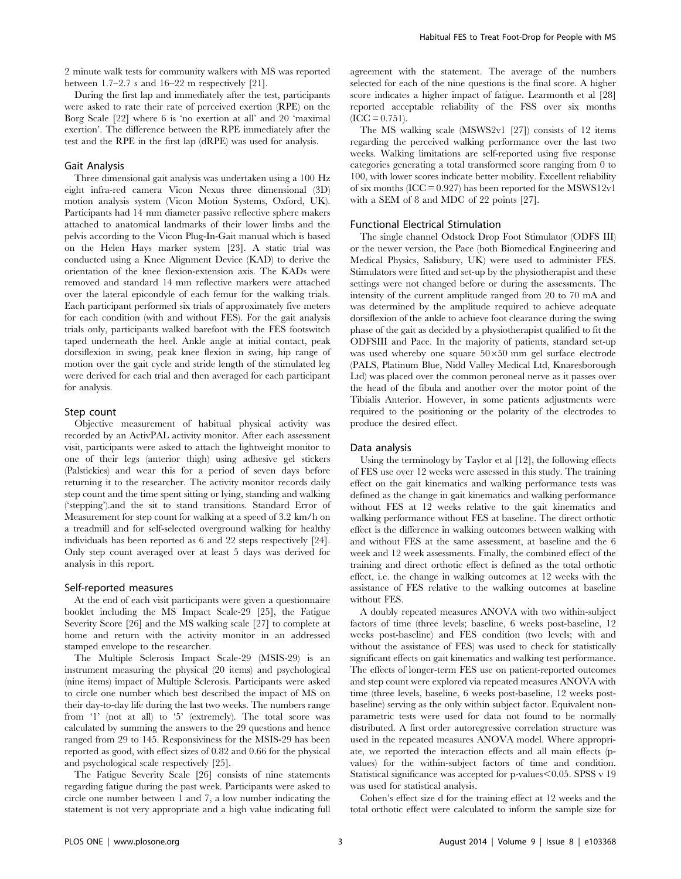2 minute walk tests for community walkers with MS was reported between 1.7–2.7 s and 16–22 m respectively [21].

During the first lap and immediately after the test, participants were asked to rate their rate of perceived exertion (RPE) on the Borg Scale [22] where 6 is 'no exertion at all' and 20 'maximal exertion'. The difference between the RPE immediately after the test and the RPE in the first lap (dRPE) was used for analysis.

#### Gait Analysis

Three dimensional gait analysis was undertaken using a 100 Hz eight infra-red camera Vicon Nexus three dimensional (3D) motion analysis system (Vicon Motion Systems, Oxford, UK). Participants had 14 mm diameter passive reflective sphere makers attached to anatomical landmarks of their lower limbs and the pelvis according to the Vicon Plug-In-Gait manual which is based on the Helen Hays marker system [23]. A static trial was conducted using a Knee Alignment Device (KAD) to derive the orientation of the knee flexion-extension axis. The KADs were removed and standard 14 mm reflective markers were attached over the lateral epicondyle of each femur for the walking trials. Each participant performed six trials of approximately five meters for each condition (with and without FES). For the gait analysis trials only, participants walked barefoot with the FES footswitch taped underneath the heel. Ankle angle at initial contact, peak dorsiflexion in swing, peak knee flexion in swing, hip range of motion over the gait cycle and stride length of the stimulated leg were derived for each trial and then averaged for each participant for analysis.

#### Step count

Objective measurement of habitual physical activity was recorded by an ActivPAL activity monitor. After each assessment visit, participants were asked to attach the lightweight monitor to one of their legs (anterior thigh) using adhesive gel stickers (Palstickies) and wear this for a period of seven days before returning it to the researcher. The activity monitor records daily step count and the time spent sitting or lying, standing and walking ('stepping').and the sit to stand transitions. Standard Error of Measurement for step count for walking at a speed of 3.2 km/h on a treadmill and for self-selected overground walking for healthy individuals has been reported as 6 and 22 steps respectively [24]. Only step count averaged over at least 5 days was derived for analysis in this report.

#### Self-reported measures

At the end of each visit participants were given a questionnaire booklet including the MS Impact Scale-29 [25], the Fatigue Severity Score [26] and the MS walking scale [27] to complete at home and return with the activity monitor in an addressed stamped envelope to the researcher.

The Multiple Sclerosis Impact Scale-29 (MSIS-29) is an instrument measuring the physical (20 items) and psychological (nine items) impact of Multiple Sclerosis. Participants were asked to circle one number which best described the impact of MS on their day-to-day life during the last two weeks. The numbers range from '1' (not at all) to '5' (extremely). The total score was calculated by summing the answers to the 29 questions and hence ranged from 29 to 145. Responsiviness for the MSIS-29 has been reported as good, with effect sizes of 0.82 and 0.66 for the physical and psychological scale respectively [25].

The Fatigue Severity Scale [26] consists of nine statements regarding fatigue during the past week. Participants were asked to circle one number between 1 and 7, a low number indicating the statement is not very appropriate and a high value indicating full agreement with the statement. The average of the numbers selected for each of the nine questions is the final score. A higher score indicates a higher impact of fatigue. Learmonth et al [28] reported acceptable reliability of the FSS over six months  $(ICC = 0.751).$ 

The MS walking scale (MSWS2v1 [27]) consists of 12 items regarding the perceived walking performance over the last two weeks. Walking limitations are self-reported using five response categories generating a total transformed score ranging from 0 to 100, with lower scores indicate better mobility. Excellent reliability of six months (ICC =  $0.927$ ) has been reported for the MSWS12v1 with a SEM of 8 and MDC of 22 points [27].

#### Functional Electrical Stimulation

The single channel Odstock Drop Foot Stimulator (ODFS III) or the newer version, the Pace (both Biomedical Engineering and Medical Physics, Salisbury, UK) were used to administer FES. Stimulators were fitted and set-up by the physiotherapist and these settings were not changed before or during the assessments. The intensity of the current amplitude ranged from 20 to 70 mA and was determined by the amplitude required to achieve adequate dorsiflexion of the ankle to achieve foot clearance during the swing phase of the gait as decided by a physiotherapist qualified to fit the ODFSIII and Pace. In the majority of patients, standard set-up was used whereby one square  $50\times50$  mm gel surface electrode (PALS, Platinum Blue, Nidd Valley Medical Ltd, Knaresborough Ltd) was placed over the common peroneal nerve as it passes over the head of the fibula and another over the motor point of the Tibialis Anterior. However, in some patients adjustments were required to the positioning or the polarity of the electrodes to produce the desired effect.

#### Data analysis

Using the terminology by Taylor et al [12], the following effects of FES use over 12 weeks were assessed in this study. The training effect on the gait kinematics and walking performance tests was defined as the change in gait kinematics and walking performance without FES at 12 weeks relative to the gait kinematics and walking performance without FES at baseline. The direct orthotic effect is the difference in walking outcomes between walking with and without FES at the same assessment, at baseline and the 6 week and 12 week assessments. Finally, the combined effect of the training and direct orthotic effect is defined as the total orthotic effect, i.e. the change in walking outcomes at 12 weeks with the assistance of FES relative to the walking outcomes at baseline without FES.

A doubly repeated measures ANOVA with two within-subject factors of time (three levels; baseline, 6 weeks post-baseline, 12 weeks post-baseline) and FES condition (two levels; with and without the assistance of FES) was used to check for statistically significant effects on gait kinematics and walking test performance. The effects of longer-term FES use on patient-reported outcomes and step count were explored via repeated measures ANOVA with time (three levels, baseline, 6 weeks post-baseline, 12 weeks postbaseline) serving as the only within subject factor. Equivalent nonparametric tests were used for data not found to be normally distributed. A first order autoregressive correlation structure was used in the repeated measures ANOVA model. Where appropriate, we reported the interaction effects and all main effects (pvalues) for the within-subject factors of time and condition. Statistical significance was accepted for p-values $< 0.05$ . SPSS v 19 was used for statistical analysis.

Cohen's effect size d for the training effect at 12 weeks and the total orthotic effect were calculated to inform the sample size for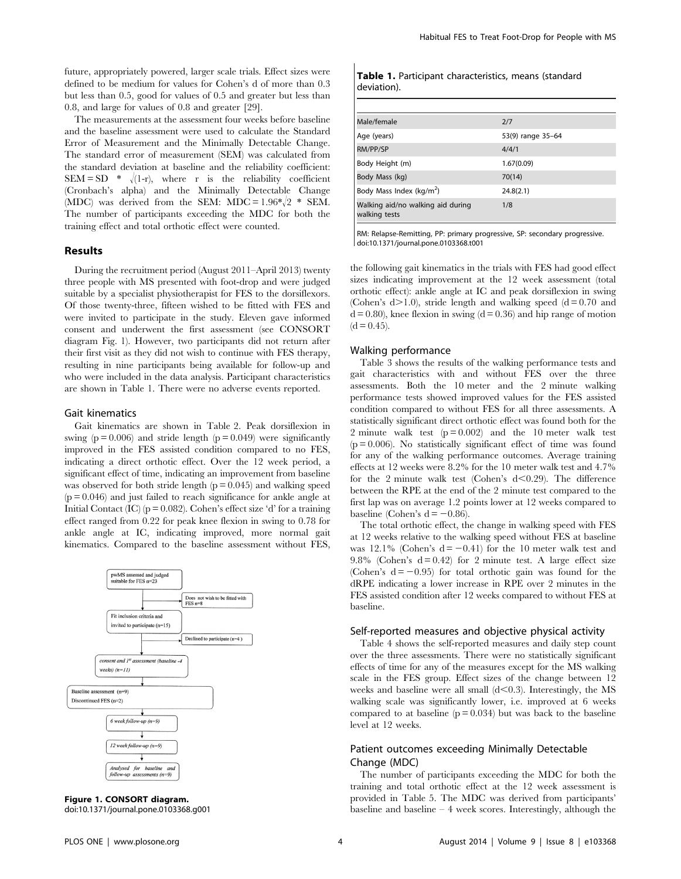future, appropriately powered, larger scale trials. Effect sizes were defined to be medium for values for Cohen's d of more than 0.3 but less than 0.5, good for values of 0.5 and greater but less than 0.8, and large for values of 0.8 and greater [29].

The measurements at the assessment four weeks before baseline and the baseline assessment were used to calculate the Standard Error of Measurement and the Minimally Detectable Change. The standard error of measurement (SEM) was calculated from the standard deviation at baseline and the reliability coefficient:  $SEM = SD$  \*  $\sqrt{(1-r)}$ , where r is the reliability coefficient (Cronbach's alpha) and the Minimally Detectable Change (MDC) was derived from the SEM: MDC =  $1.96 \times 2 \times$  SEM. The number of participants exceeding the MDC for both the training effect and total orthotic effect were counted.

#### Results

During the recruitment period (August 2011–April 2013) twenty three people with MS presented with foot-drop and were judged suitable by a specialist physiotherapist for FES to the dorsiflexors. Of those twenty-three, fifteen wished to be fitted with FES and were invited to participate in the study. Eleven gave informed consent and underwent the first assessment (see CONSORT diagram Fig. 1). However, two participants did not return after their first visit as they did not wish to continue with FES therapy, resulting in nine participants being available for follow-up and who were included in the data analysis. Participant characteristics are shown in Table 1. There were no adverse events reported.

### Gait kinematics

Gait kinematics are shown in Table 2. Peak dorsiflexion in swing ( $p = 0.006$ ) and stride length ( $p = 0.049$ ) were significantly improved in the FES assisted condition compared to no FES, indicating a direct orthotic effect. Over the 12 week period, a significant effect of time, indicating an improvement from baseline was observed for both stride length  $(p = 0.045)$  and walking speed  $(p = 0.046)$  and just failed to reach significance for ankle angle at Initial Contact (IC) ( $p = 0.082$ ). Cohen's effect size 'd' for a training effect ranged from 0.22 for peak knee flexion in swing to 0.78 for ankle angle at IC, indicating improved, more normal gait kinematics. Compared to the baseline assessment without FES,



Figure 1. CONSORT diagram. doi:10.1371/journal.pone.0103368.g001

|             | Table 1. Participant characteristics, means (standard |  |
|-------------|-------------------------------------------------------|--|
| deviation). |                                                       |  |

| Male/female                                        | 2/7               |
|----------------------------------------------------|-------------------|
| Age (years)                                        | 53(9) range 35-64 |
| RM/PP/SP                                           | 4/4/1             |
| Body Height (m)                                    | 1.67(0.09)        |
| Body Mass (kg)                                     | 70(14)            |
| Body Mass Index (kg/m <sup>2</sup> )               | 24.8(2.1)         |
| Walking aid/no walking aid during<br>walking tests | 1/8               |

RM: Relapse-Remitting, PP: primary progressive, SP: secondary progressive. doi:10.1371/journal.pone.0103368.t001

the following gait kinematics in the trials with FES had good effect sizes indicating improvement at the 12 week assessment (total orthotic effect): ankle angle at IC and peak dorsiflexion in swing (Cohen's  $d > 1.0$ ), stride length and walking speed (d = 0.70 and  $d = 0.80$ , knee flexion in swing  $(d = 0.36)$  and hip range of motion  $(d = 0.45)$ .

## Walking performance

Table 3 shows the results of the walking performance tests and gait characteristics with and without FES over the three assessments. Both the 10 meter and the 2 minute walking performance tests showed improved values for the FES assisted condition compared to without FES for all three assessments. A statistically significant direct orthotic effect was found both for the 2 minute walk test  $(p=0.002)$  and the 10 meter walk test  $(p = 0.006)$ . No statistically significant effect of time was found for any of the walking performance outcomes. Average training effects at 12 weeks were 8.2% for the 10 meter walk test and 4.7% for the 2 minute walk test (Cohen's  $d<0.29$ ). The difference between the RPE at the end of the 2 minute test compared to the first lap was on average 1.2 points lower at 12 weeks compared to baseline (Cohen's  $d = -0.86$ ).

The total orthotic effect, the change in walking speed with FES at 12 weeks relative to the walking speed without FES at baseline was 12.1% (Cohen's  $d = -0.41$ ) for the 10 meter walk test and 9.8% (Cohen's  $d = 0.42$ ) for 2 minute test. A large effect size (Cohen's  $d = -0.95$ ) for total orthotic gain was found for the dRPE indicating a lower increase in RPE over 2 minutes in the FES assisted condition after 12 weeks compared to without FES at baseline.

## Self-reported measures and objective physical activity

Table 4 shows the self-reported measures and daily step count over the three assessments. There were no statistically significant effects of time for any of the measures except for the MS walking scale in the FES group. Effect sizes of the change between 12 weeks and baseline were all small  $(d<0.3)$ . Interestingly, the MS walking scale was significantly lower, i.e. improved at 6 weeks compared to at baseline  $(p = 0.034)$  but was back to the baseline level at 12 weeks.

## Patient outcomes exceeding Minimally Detectable Change (MDC)

The number of participants exceeding the MDC for both the training and total orthotic effect at the 12 week assessment is provided in Table 5. The MDC was derived from participants' baseline and baseline – 4 week scores. Interestingly, although the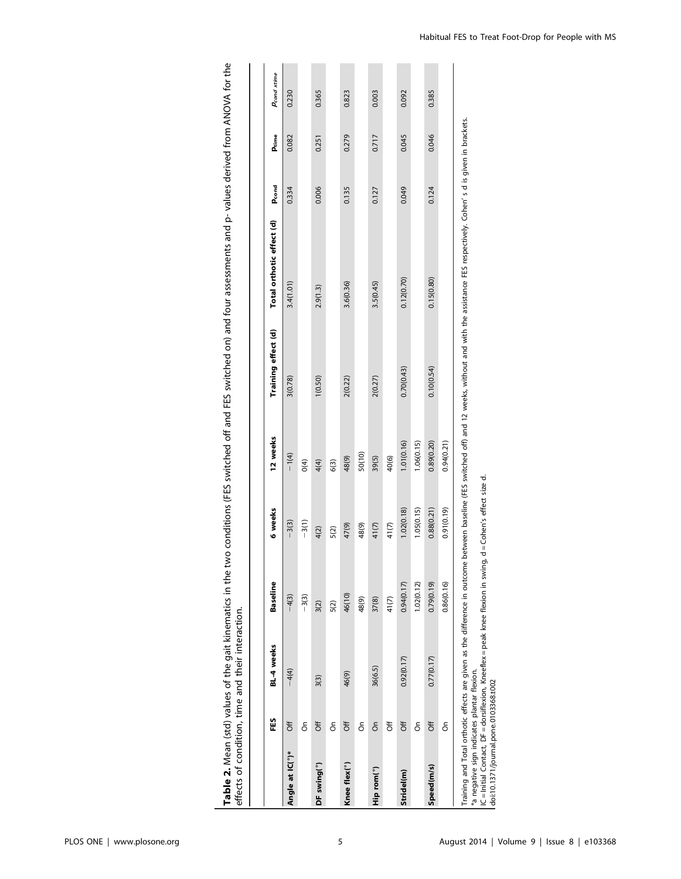|                                                                                      | EES      | BL-4 weeks                                                                                                                                                    | <b>Baseline</b> | 6 weeks                    | 12 weeks   | Training effect (d) | Total orthotic effect (d)                                                                                                           | Pcond | Ptime | Pcond xtime |
|--------------------------------------------------------------------------------------|----------|---------------------------------------------------------------------------------------------------------------------------------------------------------------|-----------------|----------------------------|------------|---------------------|-------------------------------------------------------------------------------------------------------------------------------------|-------|-------|-------------|
| Angle at IC(°)*                                                                      | ð#       | $-4(4)$                                                                                                                                                       | $-4(3)$         | $-3(3)$                    | $-1(4)$    | 3(0.78)             | 3.4(1.01)                                                                                                                           | 0.334 | 0.082 | 0.230       |
|                                                                                      | င်္      |                                                                                                                                                               | $-3(3)$         | $-3(1)$                    | 0(4)       |                     |                                                                                                                                     |       |       |             |
| DF swing(°)                                                                          | ð#       | 3(3)                                                                                                                                                          | 3(2)            | 4(2)                       | 4(4)       | 1(0.50)             | 2.9(1.3)                                                                                                                            | 0.006 | 0.251 | 0.365       |
|                                                                                      | δ        |                                                                                                                                                               | 5(2)            | 5(2)                       | 6(3)       |                     |                                                                                                                                     |       |       |             |
| Knee flex(°)                                                                         | ð#       | 46(9)                                                                                                                                                         | 46(10)          | 47(9)                      | 48(9)      | 2(0.22)             | 3.6(0.36)                                                                                                                           | 0.135 | 0.279 | 0.823       |
|                                                                                      | δ        |                                                                                                                                                               | 48(9)           | 48(9)                      | 50(10)     |                     |                                                                                                                                     |       |       |             |
| Hip rom(°)                                                                           | $\delta$ | 36(6.5)                                                                                                                                                       | 37(8)           | 41(7)                      | 39(5)      | 2(0.27)             | 3.5(0.45)                                                                                                                           | 0.127 | 0.717 | 0.003       |
|                                                                                      | ð        |                                                                                                                                                               | 41(7)           | 41(7)                      | 40(6)      |                     |                                                                                                                                     |       |       |             |
| Stridel(m)                                                                           | ð        | 0.92(0.17)                                                                                                                                                    | 0.94(0.17)      | 1.02(0.18)                 | 1.01(0.16) | 0.70(0.43)          | 0.12(0.70)                                                                                                                          | 0.049 | 0.045 | 0.092       |
|                                                                                      | δ        |                                                                                                                                                               | 1.02(0.12)      | 1.05(0.15)                 | 1.06(0.15) |                     |                                                                                                                                     |       |       |             |
| Speed(m/s)                                                                           | ð        | 0.77(0.17)                                                                                                                                                    | 0.79(0.19)      | 0.88(0.21)                 | 0.89(0.20) | 0.10(0.54)          | 0.15(0.80)                                                                                                                          | 0.124 | 0.046 | 0.385       |
|                                                                                      | δ        |                                                                                                                                                               | 0.86(0.16)      | 0.91(0.19)                 | 0.94(0.21) |                     |                                                                                                                                     |       |       |             |
| *a negative sign indicates plantar flexion.<br>doi:10.1371/journal.pone.0103368.t002 |          | IC = Initial Contact, DF = dorsiflexion, Kneeflex = peak knee flexion in swing,<br>Training and Total orthotic effects are given as the difference in outcome |                 | d = Cohen's effect size d. |            |                     | between baseline (FES switched off) and 12 weeks, without and with the assistance FES respectively. Cohen's d is given in brackets. |       |       |             |

Table 2. Mean (std) values of the gait kinematics in the two conditions (FES switched off and FES switched on) and four assessments and p- values derived from ANOVA for the<br>effects of condition, time and their interaction. Table 2. Mean (std) values of the gait kinematics in the two conditions (FES switched off and FES switched on) and four assessments and p- values derived from ANOVA for the effects of condition, time and their interaction.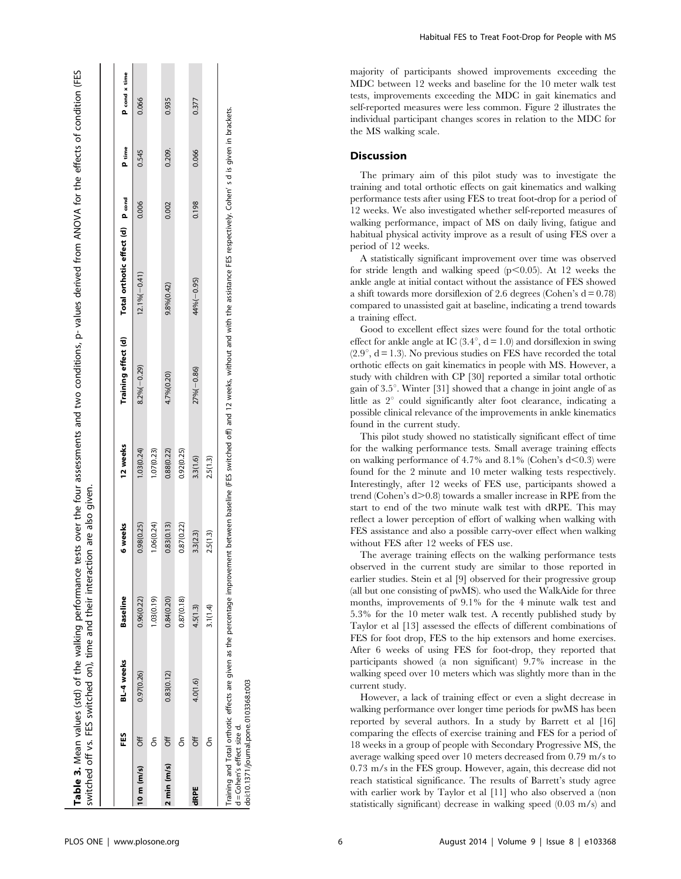|                              |          | switched off vs. FES switched on), time and their interaction are also given. |                 |            |            |                |                                                      |       |                   |               |
|------------------------------|----------|-------------------------------------------------------------------------------|-----------------|------------|------------|----------------|------------------------------------------------------|-------|-------------------|---------------|
|                              |          |                                                                               |                 |            |            |                |                                                      |       |                   |               |
|                              | E5<br>E5 | BL-4 weeks                                                                    | <b>Baseline</b> | 6 weeks    | 12 weeks   |                | Training effect (d) Total orthotic effect (d) P cond |       | P <sub>time</sub> | P cond x time |
| 10 m (m/s) $Off$             |          | 0.97(0.26)                                                                    | 0.96(0.22)      | 0.98(0.25) | 1.03(0.24) | $8.2\%(-0.29)$ | $12.1\%(-0.41)$                                      | 0.006 | 0.545             | 0.066         |
|                              | å        |                                                                               | .03(0.19)       | 1.06(0.24) | 1.07(0.23) |                |                                                      |       |                   |               |
| $2 \text{ min} (\text{m/s})$ | ð        | 0.83(0.12)                                                                    | 0.84(0.20)      | 0.83(0.13) | 0.88(0.22) | 4.7%(0.20)     | 9.8% (0.42)                                          | 0.002 | 0.209.            | 0.935         |
|                              | δ        |                                                                               | 0.87(0.18)      | 0.87(0.22) | 0.92(0.25) |                |                                                      |       |                   |               |
| dRPE                         | δf       | 4.0(1.6)                                                                      | 4.5(1.3)        | 3.3(2.3)   | 3.3(1.6)   | $27%(-0.86)$   | $44%(-0.95)$                                         | 0.198 | 0.066             | 0.377         |
|                              | δ        |                                                                               | 3.1(1.4)        | 2.5(1.3)   | 2.5(1.3)   |                |                                                      |       |                   |               |

Mean values (std) of the walking performance tests over the four assessments and two conditions, p- values derived from ANOVA for the effects of condition (FES

Table 3. Mean values (std) of the walking performance tests over the four assessments and two conditions, p- values derived from ANOVA for the effects of condition (FES

Training and Total orthotic effects are given as the percentage improvement between baseline (FES switched off) and 12 weeks, without and with the assistance FES respectively. Cohen' s d is given in brackets. 12 weeks, without and with the assistance FES respectively. Cohen's d is given in brackets improvement between baseline (FES switched off) and Total orthotic effects are given as the percentage Cohen's effect size d. d = Cohen's effect size d. Training and

doi:10.1371/journal.pone.0103368.t003 doi:10.1371/journal.pone.0103368.t003

Habitual FES to Treat Foot-Drop for People with MS

majority of participants showed improvements exceeding the MDC between 12 weeks and baseline for the 10 meter walk test tests, improvements exceeding the MDC in gait kinematics and self-reported measures were less common. Figure 2 illustrates the individual participant changes scores in relation to the MDC for the MS walking scale.

## Discussion

The primary aim of this pilot study was to investigate the training and total orthotic effects on gait kinematics and walking performance tests after using FES to treat foot-drop for a period of 12 weeks. We also investigated whether self-reported measures of walking performance, impact of MS on daily living, fatigue and habitual physical activity improve as a result of using FES over a period of 12 weeks.

A statistically significant improvement over time was observed for stride length and walking speed  $(p<0.05)$ . At 12 weeks the ankle angle at initial contact without the assistance of FES showed a shift towards more dorsiflexion of 2.6 degrees (Cohen's  $d = 0.78$ ) compared to unassisted gait at baseline, indicating a trend towards a training effect.

Good to excellent effect sizes were found for the total orthotic effect for ankle angle at IC  $(3.4^{\circ}, d = 1.0)$  and dorsiflexion in swing  $(2.9^{\circ}, d = 1.3)$ . No previous studies on FES have recorded the total orthotic effects on gait kinematics in people with MS. However, a study with children with CP [30] reported a similar total orthotic gain of  $3.5^{\circ}$ . Winter [31] showed that a change in joint angle of as little as  $2^{\circ}$  could significantly alter foot clearance, indicating a possible clinical relevance of the improvements in ankle kinematics found in the current study.

This pilot study showed no statistically significant effect of time for the walking performance tests. Small average training effects on walking performance of 4.7% and 8.1% (Cohen's  $d<0.3$ ) were found for the 2 minute and 10 meter walking tests respectively. Interestingly, after 12 weeks of FES use, participants showed a trend (Cohen's  $d > 0.8$ ) towards a smaller increase in RPE from the start to end of the two minute walk test with dRPE. This may reflect a lower perception of effort of walking when walking with FES assistance and also a possible carry-over effect when walking without FES after 12 weeks of FES use.

The average training effects on the walking performance tests observed in the current study are similar to those reported in earlier studies. Stein et al [9] observed for their progressive group (all but one consisting of pwMS). who used the WalkAide for three months, improvements of 9.1% for the 4 minute walk test and 5.3% for the 10 meter walk test. A recently published study by Taylor et al [13] assessed the effects of different combinations of FES for foot drop, FES to the hip extensors and home exercises. After 6 weeks of using FES for foot-drop, they reported that participants showed (a non significant) 9.7% increase in the walking speed over 10 meters which was slightly more than in the current study.

However, a lack of training effect or even a slight decrease in walking performance over longer time periods for pwMS has been reported by several authors. In a study by Barrett et al [16] comparing the effects of exercise training and FES for a period of 18 weeks in a group of people with Secondary Progressive MS, the average walking speed over 10 meters decreased from 0.79 m/s to 0.73 m/s in the FES group. However, again, this decrease did not reach statistical significance. The results of Barrett's study agree with earlier work by Taylor et al [11] who also observed a (non statistically significant) decrease in walking speed (0.03 m/s) and

Table 3.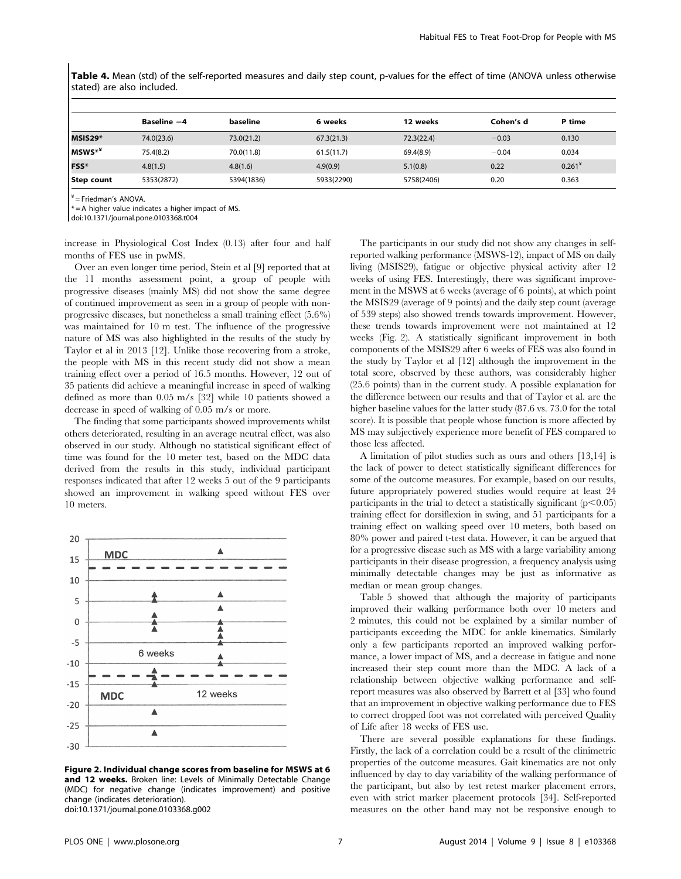Table 4. Mean (std) of the self-reported measures and daily step count, p-values for the effect of time (ANOVA unless otherwise stated) are also included.

|            | Baseline -4 | baseline   | 6 weeks    | 12 weeks   | Cohen's d | P time   |
|------------|-------------|------------|------------|------------|-----------|----------|
| MSIS29*    | 74.0(23.6)  | 73.0(21.2) | 67.3(21.3) | 72.3(22.4) | $-0.03$   | 0.130    |
| MSWS**     | 75.4(8.2)   | 70.0(11.8) | 61.5(11.7) | 69.4(8.9)  | $-0.04$   | 0.034    |
| FSS*       | 4.8(1.5)    | 4.8(1.6)   | 4.9(0.9)   | 5.1(0.8)   | 0.22      | $0.261*$ |
| Step count | 5353(2872)  | 5394(1836) | 5933(2290) | 5758(2406) | 0.20      | 0.363    |

 $\epsilon'$  = Friedman's ANOVA.

 $t = A$  higher value indicates a higher impact of MS.

doi:10.1371/journal.pone.0103368.t004

increase in Physiological Cost Index (0.13) after four and half months of FES use in pwMS.

Over an even longer time period, Stein et al [9] reported that at the 11 months assessment point, a group of people with progressive diseases (mainly MS) did not show the same degree of continued improvement as seen in a group of people with nonprogressive diseases, but nonetheless a small training effect (5.6%) was maintained for 10 m test. The influence of the progressive nature of MS was also highlighted in the results of the study by Taylor et al in 2013 [12]. Unlike those recovering from a stroke, the people with MS in this recent study did not show a mean training effect over a period of 16.5 months. However, 12 out of 35 patients did achieve a meaningful increase in speed of walking defined as more than 0.05 m/s [32] while 10 patients showed a decrease in speed of walking of 0.05 m/s or more.

The finding that some participants showed improvements whilst others deteriorated, resulting in an average neutral effect, was also observed in our study. Although no statistical significant effect of time was found for the 10 meter test, based on the MDC data derived from the results in this study, individual participant responses indicated that after 12 weeks 5 out of the 9 participants showed an improvement in walking speed without FES over 10 meters.



Figure 2. Individual change scores from baseline for MSWS at 6 and 12 weeks. Broken line: Levels of Minimally Detectable Change (MDC) for negative change (indicates improvement) and positive change (indicates deterioration). doi:10.1371/journal.pone.0103368.g002

The participants in our study did not show any changes in selfreported walking performance (MSWS-12), impact of MS on daily living (MSIS29), fatigue or objective physical activity after 12 weeks of using FES. Interestingly, there was significant improvement in the MSWS at 6 weeks (average of 6 points), at which point the MSIS29 (average of 9 points) and the daily step count (average of 539 steps) also showed trends towards improvement. However, these trends towards improvement were not maintained at 12 weeks (Fig. 2). A statistically significant improvement in both components of the MSIS29 after 6 weeks of FES was also found in the study by Taylor et al [12] although the improvement in the total score, observed by these authors, was considerably higher (25.6 points) than in the current study. A possible explanation for the difference between our results and that of Taylor et al. are the higher baseline values for the latter study (87.6 vs. 73.0 for the total score). It is possible that people whose function is more affected by MS may subjectively experience more benefit of FES compared to those less affected.

A limitation of pilot studies such as ours and others [13,14] is the lack of power to detect statistically significant differences for some of the outcome measures. For example, based on our results, future appropriately powered studies would require at least 24 participants in the trial to detect a statistically significant  $(p<0.05)$ training effect for dorsiflexion in swing, and 51 participants for a training effect on walking speed over 10 meters, both based on 80% power and paired t-test data. However, it can be argued that for a progressive disease such as MS with a large variability among participants in their disease progression, a frequency analysis using minimally detectable changes may be just as informative as median or mean group changes.

Table 5 showed that although the majority of participants improved their walking performance both over 10 meters and 2 minutes, this could not be explained by a similar number of participants exceeding the MDC for ankle kinematics. Similarly only a few participants reported an improved walking performance, a lower impact of MS, and a decrease in fatigue and none increased their step count more than the MDC. A lack of a relationship between objective walking performance and selfreport measures was also observed by Barrett et al [33] who found that an improvement in objective walking performance due to FES to correct dropped foot was not correlated with perceived Quality of Life after 18 weeks of FES use.

There are several possible explanations for these findings. Firstly, the lack of a correlation could be a result of the clinimetric properties of the outcome measures. Gait kinematics are not only influenced by day to day variability of the walking performance of the participant, but also by test retest marker placement errors, even with strict marker placement protocols [34]. Self-reported measures on the other hand may not be responsive enough to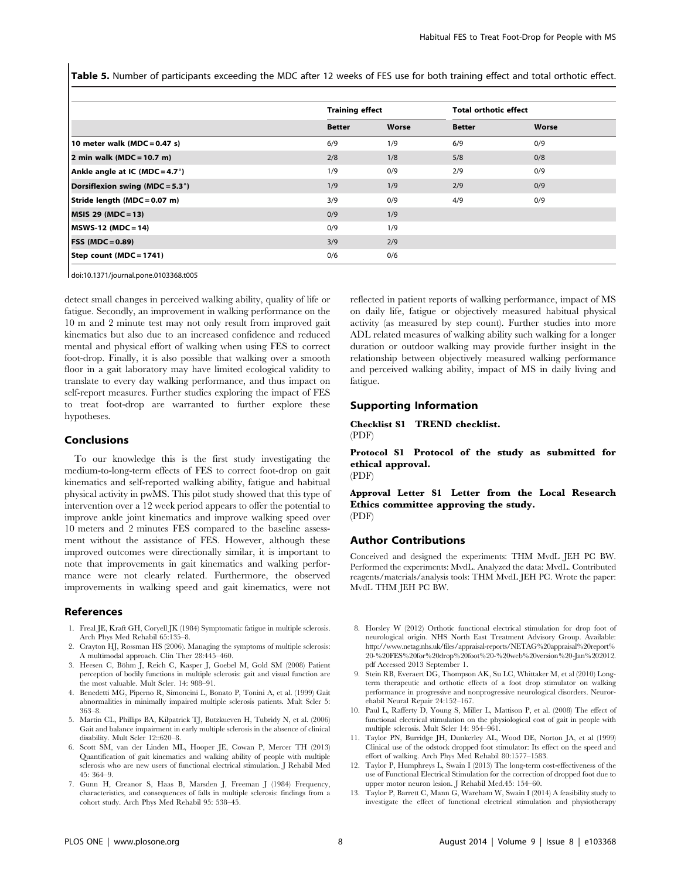Table 5. Number of participants exceeding the MDC after 12 weeks of FES use for both training effect and total orthotic effect.

|                                           | <b>Training effect</b> |       | <b>Total orthotic effect</b> |       |  |
|-------------------------------------------|------------------------|-------|------------------------------|-------|--|
|                                           | <b>Better</b>          | Worse | <b>Better</b>                | Worse |  |
| 10 meter walk ( $MDC = 0.47$ s)           | 6/9                    | 1/9   | 6/9                          | 0/9   |  |
| 2 min walk (MDC = $10.7$ m)               | 2/8                    | 1/8   | 5/8                          | 0/8   |  |
| Ankle angle at IC (MDC = $4.7^{\circ}$ )  | 1/9                    | 0/9   | 2/9                          | 0/9   |  |
| Dorsiflexion swing (MDC = $5.3^{\circ}$ ) | 1/9                    | 1/9   | 2/9                          | 0/9   |  |
| Stride length (MDC = 0.07 m)              | 3/9                    | 0/9   | 4/9                          | 0/9   |  |
| <b>MSIS 29 (MDC = 13)</b>                 | 0/9                    | 1/9   |                              |       |  |
| MSWS-12 (MDC = 14)                        | 0/9                    | 1/9   |                              |       |  |
| <b>FSS (MDC = 0.89)</b>                   | 3/9                    | 2/9   |                              |       |  |
| Step count (MDC = 1741)                   | 0/6                    | 0/6   |                              |       |  |

doi:10.1371/journal.pone.0103368.t005

detect small changes in perceived walking ability, quality of life or fatigue. Secondly, an improvement in walking performance on the 10 m and 2 minute test may not only result from improved gait kinematics but also due to an increased confidence and reduced mental and physical effort of walking when using FES to correct foot-drop. Finally, it is also possible that walking over a smooth floor in a gait laboratory may have limited ecological validity to translate to every day walking performance, and thus impact on self-report measures. Further studies exploring the impact of FES to treat foot-drop are warranted to further explore these hypotheses.

#### Conclusions

To our knowledge this is the first study investigating the medium-to-long-term effects of FES to correct foot-drop on gait kinematics and self-reported walking ability, fatigue and habitual physical activity in pwMS. This pilot study showed that this type of intervention over a 12 week period appears to offer the potential to improve ankle joint kinematics and improve walking speed over 10 meters and 2 minutes FES compared to the baseline assessment without the assistance of FES. However, although these improved outcomes were directionally similar, it is important to note that improvements in gait kinematics and walking performance were not clearly related. Furthermore, the observed improvements in walking speed and gait kinematics, were not

#### References

- 1. Freal JE, Kraft GH, Coryell JK (1984) Symptomatic fatigue in multiple sclerosis. Arch Phys Med Rehabil 65:135–8.
- 2. Crayton HJ, Rossman HS (2006). Managing the symptoms of multiple sclerosis: A multimodal approach. Clin Ther 28:445–460.
- 3. Heesen C, Böhm J, Reich C, Kasper J, Goebel M, Gold SM (2008) Patient perception of bodily functions in multiple sclerosis: gait and visual function are the most valuable. Mult Scler. 14: 988–91.
- 4. Benedetti MG, Piperno R, Simoncini L, Bonato P, Tonini A, et al. (1999) Gait abnormalities in minimally impaired multiple sclerosis patients. Mult Scler 5: 363–8.
- 5. Martin CL, Phillips BA, Kilpatrick TJ, Butzkueven H, Tubridy N, et al. (2006) Gait and balance impairment in early multiple sclerosis in the absence of clinical disability. Mult Scler 12::620–8.
- 6. Scott SM, van der Linden ML, Hooper JE, Cowan P, Mercer TH (2013) Quantification of gait kinematics and walking ability of people with multiple sclerosis who are new users of functional electrical stimulation. J Rehabil Med 45: 364–9.
- 7. Gunn H, Creanor S, Haas B, Marsden J, Freeman J (1984) Frequency, characteristics, and consequences of falls in multiple sclerosis: findings from a cohort study. Arch Phys Med Rehabil 95: 538–45.

reflected in patient reports of walking performance, impact of MS on daily life, fatigue or objectively measured habitual physical activity (as measured by step count). Further studies into more ADL related measures of walking ability such walking for a longer duration or outdoor walking may provide further insight in the relationship between objectively measured walking performance and perceived walking ability, impact of MS in daily living and fatigue.

## Supporting Information

Checklist S1 TREND checklist. (PDF)

Protocol S1 Protocol of the study as submitted for ethical approval. (PDF)

Approval Letter S1 Letter from the Local Research Ethics committee approving the study. (PDF)

#### Author Contributions

Conceived and designed the experiments: THM MvdL JEH PC BW. Performed the experiments: MvdL. Analyzed the data: MvdL. Contributed reagents/materials/analysis tools: THM MvdL JEH PC. Wrote the paper: MvdL THM JEH PC BW.

- 8. Horsley W (2012) Orthotic functional electrical stimulation for drop foot of neurological origin. NHS North East Treatment Advisory Group. Available: [http://www.netag.nhs.uk/files/appraisal-reports/NETAG%20appraisal%20report%](http://www.netag.nhs.uk/files/appraisal-reports/NETAG%20appraisal%20report%20-%20FES%20for%20drop%20foot%20-%20web%20version%20-Jan%202012.pdf) [20-%20FES%20for%20drop%20foot%20-%20web%20version%20-Jan%202012.](http://www.netag.nhs.uk/files/appraisal-reports/NETAG%20appraisal%20report%20-%20FES%20for%20drop%20foot%20-%20web%20version%20-Jan%202012.pdf) [pdf](http://www.netag.nhs.uk/files/appraisal-reports/NETAG%20appraisal%20report%20-%20FES%20for%20drop%20foot%20-%20web%20version%20-Jan%202012.pdf) Accessed 2013 September 1.
- 9. Stein RB, Everaert DG, Thompson AK, Su LC, Whittaker M, et al (2010) Longterm therapeutic and orthotic effects of a foot drop stimulator on walking performance in progressive and nonprogressive neurological disorders. Neurorehabil Neural Repair 24:152–167.
- 10. Paul L, Rafferty D, Young S, Miller L, Mattison P, et al. (2008) The effect of functional electrical stimulation on the physiological cost of gait in people with multiple sclerosis. Mult Scler 14: 954–961.
- 11. Taylor PN, Burridge JH, Dunkerley AL, Wood DE, Norton JA, et al (1999) Clinical use of the odstock dropped foot stimulator: Its effect on the speed and effort of walking. Arch Phys Med Rehabil 80:1577–1583.
- 12. Taylor P, Humphreys L, Swain I (2013) The long-term cost-effectiveness of the use of Functional Electrical Stimulation for the correction of dropped foot due to upper motor neuron lesion. J Rehabil Med.45: 154–60.
- 13. Taylor P, Barrett C, Mann G, Wareham W, Swain I (2014) A feasibility study to investigate the effect of functional electrical stimulation and physiotherapy